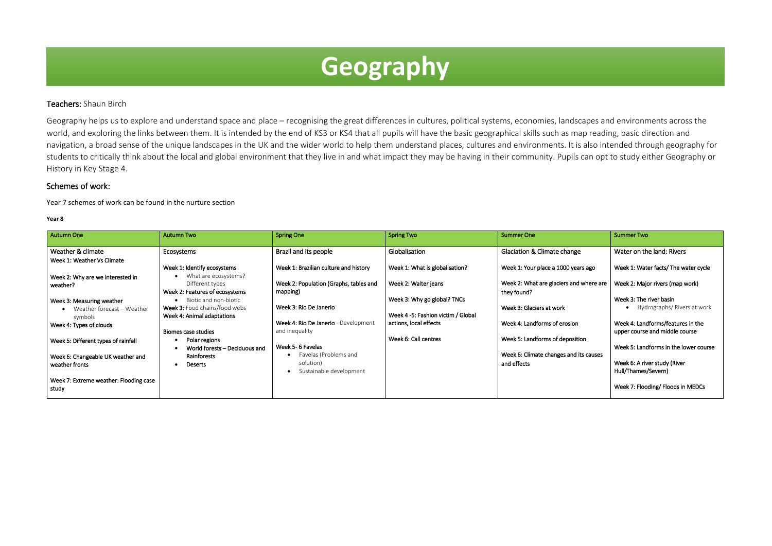## Teachers: Shaun Birch

Geography helps us to explore and understand space and place – recognising the great differences in cultures, political systems, economies, landscapes and environments across the world, and exploring the links between them. It is intended by the end of KS3 or KS4 that all pupils will have the basic geographical skills such as map reading, basic direction and navigation, a broad sense of the unique landscapes in the UK and the wider world to help them understand places, cultures and environments. It is also intended through geography for students to critically think about the local and global environment that they live in and what impact they may be having in their community. Pupils can opt to study either Geography or History in Key Stage 4.

### Schemes of work:

Year 7 schemes of work can be found in the nurture section

#### **Year 8**

I

| Autumn One                                              | <b>Autumn Two</b>                                                         | <b>Spring One</b>                                             | <b>Spring Two</b>                                                 | <b>Summer One</b>                                      | <b>Summer Two</b>                                                   |
|---------------------------------------------------------|---------------------------------------------------------------------------|---------------------------------------------------------------|-------------------------------------------------------------------|--------------------------------------------------------|---------------------------------------------------------------------|
| Weather & climate                                       | Ecosystems                                                                | Brazil and its people                                         | Globalisation                                                     | <b>Glaciation &amp; Climate change</b>                 | Water on the land: Rivers                                           |
| Week 1: Weather Vs Climate                              | Week 1: Identify ecosystems                                               | Week 1: Brazilian culture and history                         | Week 1: What is globalisation?                                    | Week 1: Your place a 1000 years ago                    | Week 1: Water facts/ The water cycle                                |
| Week 2: Why are we interested in<br>weather?            | What are ecosystems?<br>Different types<br>Week 2: Features of ecosystems | Week 2: Population (Graphs, tables and<br>mapping)            | Week 2: Walter jeans                                              | Week 2: What are glaciers and where are<br>they found? | Week 2: Major rivers (map work)                                     |
| Week 3: Measuring weather<br>Weather forecast - Weather | Biotic and non-biotic<br>Week 3: Food chains/food webs                    | Week 3: Rio De Janerio                                        | Week 3: Why go global? TNCs<br>Week 4 -5: Fashion victim / Global | Week 3: Glaciers at work                               | Week 3: The river basin<br>Hydrographs/ Rivers at work              |
| symbols<br>Week 4: Types of clouds                      | Week 4: Animal adaptations<br>Biomes case studies                         | Week 4: Rio De Janerio - Development<br>and inequality        | actions, local effects                                            | Week 4: Landforms of erosion                           | Week 4: Landforms/features in the<br>upper course and middle course |
| Week 5: Different types of rainfall                     | Polar regions<br>World forests - Deciduous and                            | Week 5- 6 Favelas                                             | Week 6: Call centres                                              | Week 5: Landforms of deposition                        | Week 5: Landforms in the lower course                               |
| Week 6: Changeable UK weather and<br>weather fronts     | Rainforests<br><b>Deserts</b>                                             | Favelas (Problems and<br>solution)<br>Sustainable development |                                                                   | Week 6: Climate changes and its causes<br>and effects  | Week 6: A river study (River<br>Hull/Thames/Severn)                 |
| Week 7: Extreme weather: Flooding case<br>study         |                                                                           |                                                               |                                                                   |                                                        | Week 7: Flooding/ Floods in MEDCs                                   |

# **Geography**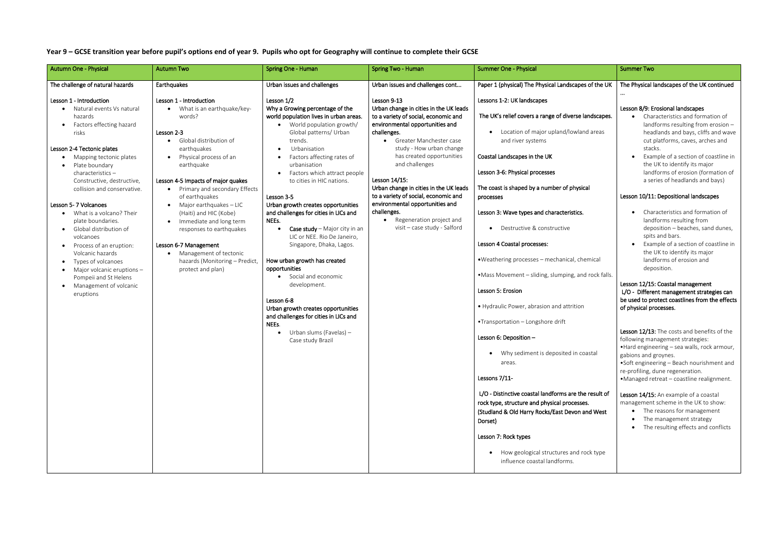**Year 9 – GCSE transition year before pupil's options end of year 9. Pupils who opt for Geography will continue to complete their GCSE**

|                               | <b>Summer Two</b>                                                                                                                                                                                                                                                                    |  |  |  |
|-------------------------------|--------------------------------------------------------------------------------------------------------------------------------------------------------------------------------------------------------------------------------------------------------------------------------------|--|--|--|
| s of the UK                   | The Physical landscapes of the UK continued                                                                                                                                                                                                                                          |  |  |  |
|                               | Lesson 8/9: Erosional landscapes                                                                                                                                                                                                                                                     |  |  |  |
| andscapes.                    | Characteristics and formation of<br>landforms resulting from erosion -                                                                                                                                                                                                               |  |  |  |
| าd areas                      | headlands and bays, cliffs and wave<br>cut platforms, caves, arches and<br>stacks.                                                                                                                                                                                                   |  |  |  |
|                               | Example of a section of coastline in<br>the UK to identify its major<br>landforms of erosion (formation of                                                                                                                                                                           |  |  |  |
|                               | a series of headlands and bays)                                                                                                                                                                                                                                                      |  |  |  |
| cal                           | Lesson 10/11: Depositional landscapes                                                                                                                                                                                                                                                |  |  |  |
|                               | Characteristics and formation of<br>landforms resulting from<br>deposition - beaches, sand dunes,<br>spits and bars.<br>Example of a section of coastline in                                                                                                                         |  |  |  |
| emical                        | the UK to identify its major<br>landforms of erosion and<br>deposition.                                                                                                                                                                                                              |  |  |  |
| d rock falls.                 | Lesson 12/15: Coastal management<br>L/O - Different management strategies can<br>be used to protect coastlines from the effects<br>of physical processes.                                                                                                                            |  |  |  |
| bastal                        | Lesson 12/13: The costs and benefits of the<br>following management strategies:<br>.Hard engineering - sea walls, rock armour,<br>gabions and groynes.<br>•Soft engineering - Beach nourishment and<br>re-profiling, dune regeneration.<br>·Managed retreat - coastline realignment. |  |  |  |
| e result of<br>S.<br>and West | Lesson 14/15: An example of a coastal<br>management scheme in the UK to show:<br>The reasons for management<br>The management strategy<br>The resulting effects and conflicts                                                                                                        |  |  |  |
| ock type                      |                                                                                                                                                                                                                                                                                      |  |  |  |

| <b>Autumn One - Physical</b>                                                                                                                                                                                                                                                                                                                                                                                                                                                                                                                        | <b>Autumn Two</b>                                                                                                                                                                                                                                                                                                                                                                                                                                                                          | Spring One - Human                                                                                                                                                                                                                                                                                                                                                                                                                                                                                                                                                                                                                                                                                                                    | Spring Two - Human                                                                                                                                                                                                                                                                                                                                                                                                                                                     | <b>Summer One - Physical</b>                                                                                                                                                                                                                                                                                                                                                                                                                                                                                                                                                                                                                                                                                                                                                                                                                                                                                                                                                       | <b>Summer Two</b>                                                                                                                                                                                                                                                                                                                                                                                                                  |
|-----------------------------------------------------------------------------------------------------------------------------------------------------------------------------------------------------------------------------------------------------------------------------------------------------------------------------------------------------------------------------------------------------------------------------------------------------------------------------------------------------------------------------------------------------|--------------------------------------------------------------------------------------------------------------------------------------------------------------------------------------------------------------------------------------------------------------------------------------------------------------------------------------------------------------------------------------------------------------------------------------------------------------------------------------------|---------------------------------------------------------------------------------------------------------------------------------------------------------------------------------------------------------------------------------------------------------------------------------------------------------------------------------------------------------------------------------------------------------------------------------------------------------------------------------------------------------------------------------------------------------------------------------------------------------------------------------------------------------------------------------------------------------------------------------------|------------------------------------------------------------------------------------------------------------------------------------------------------------------------------------------------------------------------------------------------------------------------------------------------------------------------------------------------------------------------------------------------------------------------------------------------------------------------|------------------------------------------------------------------------------------------------------------------------------------------------------------------------------------------------------------------------------------------------------------------------------------------------------------------------------------------------------------------------------------------------------------------------------------------------------------------------------------------------------------------------------------------------------------------------------------------------------------------------------------------------------------------------------------------------------------------------------------------------------------------------------------------------------------------------------------------------------------------------------------------------------------------------------------------------------------------------------------|------------------------------------------------------------------------------------------------------------------------------------------------------------------------------------------------------------------------------------------------------------------------------------------------------------------------------------------------------------------------------------------------------------------------------------|
| The challenge of natural hazards                                                                                                                                                                                                                                                                                                                                                                                                                                                                                                                    | Earthquakes                                                                                                                                                                                                                                                                                                                                                                                                                                                                                | Urban issues and challenges                                                                                                                                                                                                                                                                                                                                                                                                                                                                                                                                                                                                                                                                                                           | Urban issues and challenges cont                                                                                                                                                                                                                                                                                                                                                                                                                                       | Paper 1 (physical) The Physical Landscapes of the UK                                                                                                                                                                                                                                                                                                                                                                                                                                                                                                                                                                                                                                                                                                                                                                                                                                                                                                                               | The Physical I                                                                                                                                                                                                                                                                                                                                                                                                                     |
| Lesson 1 - Introduction<br>Natural events Vs natural<br>hazards<br>Factors effecting hazard<br>risks<br>Lesson 2-4 Tectonic plates<br>Mapping tectonic plates<br>Plate boundary<br>characteristics-<br>Constructive, destructive,<br>collision and conservative.<br>Lesson 5-7 Volcanoes<br>What is a volcano? Their<br>plate boundaries.<br>Global distribution of<br>volcanoes<br>Process of an eruption:<br>Volcanic hazards<br>Types of volcanoes<br>Major volcanic eruptions -<br>Pompeii and St Helens<br>Management of volcanic<br>eruptions | Lesson 1 - Introduction<br>What is an earthquake/key-<br>words?<br>Lesson 2-3<br>Global distribution of<br>$\bullet$<br>earthquakes<br>Physical process of an<br>earthquake<br>Lesson 4-5 Impacts of major quakes<br>Primary and secondary Effects<br>of earthquakes<br>Major earthquakes - LIC<br>(Haiti) and HIC (Kobe)<br>Immediate and long term<br>responses to earthquakes<br>Lesson 6-7 Management<br>Management of tectonic<br>hazards (Monitoring - Predict,<br>protect and plan) | Lesson 1/2<br>Why a Growing percentage of the<br>world population lives in urban areas.<br>World population growth/<br>Global patterns/ Urban<br>trends.<br>Urbanisation<br>Factors affecting rates of<br>urbanisation<br>Factors which attract people<br>to cities in HIC nations.<br>Lesson 3-5<br>Urban growth creates opportunities<br>and challenges for cities in LICs and<br>NEEs.<br>Case study - Major city in an<br>LIC or NEE. Rio De Janeiro,<br>Singapore, Dhaka, Lagos.<br>How urban growth has created<br>opportunities<br>• Social and economic<br>development.<br>Lesson 6-8<br>Urban growth creates opportunities<br>and challenges for cities in LICs and<br>NEEs.<br>Urban slums (Favelas) -<br>Case study Brazil | Lesson 9-13<br>Urban change in cities in the UK leads<br>to a variety of social, economic and<br>environmental opportunities and<br>challenges.<br>Greater Manchester case<br>study - How urban change<br>has created opportunities<br>and challenges<br>Lesson 14/15:<br>Urban change in cities in the UK leads<br>to a variety of social, economic and<br>environmental opportunities and<br>challenges.<br>Regeneration project and<br>visit - case study - Salford | Lessons 1-2: UK landscapes<br>The UK's relief covers a range of diverse landscapes.<br>Location of major upland/lowland areas<br>and river systems<br>Coastal Landscapes in the UK<br>Lesson 3-6: Physical processes<br>The coast is shaped by a number of physical<br>processes<br>Lesson 3: Wave types and characteristics.<br>Destructive & constructive<br>Lesson 4 Coastal processes:<br>. Weathering processes - mechanical, chemical<br>•Mass Movement - sliding, slumping, and rock falls.<br>Lesson 5: Erosion<br>• Hydraulic Power, abrasion and attrition<br>•Transportation - Longshore drift<br>Lesson 6: Deposition -<br>• Why sediment is deposited in coastal<br>areas.<br>Lessons 7/11-<br>L/O - Distinctive coastal landforms are the result of<br>rock type, structure and physical processes.<br>(Studland & Old Harry Rocks/East Devon and West<br>Dorset)<br>Lesson 7: Rock types<br>How geological structures and rock type<br>influence coastal landforms. | Lesson 8/9: E<br>Char<br>land<br>head<br>cut p<br>stacl<br>Exar<br>the I<br>land<br>a ser<br>Lesson 10/11<br>Char<br>land<br>depo<br>spits<br>Exar<br>the I<br>land<br>depo<br>Lesson 12/15<br>L/O - Differe<br>be used to pr<br>of physical pr<br>Lesson 12/13<br>following mar<br>• Hard engine<br>gabions and g<br>·Soft enginee<br>re-profiling, d<br>·Managed re<br>Lesson 14/15<br>management<br>$\bullet$ The<br>The<br>The |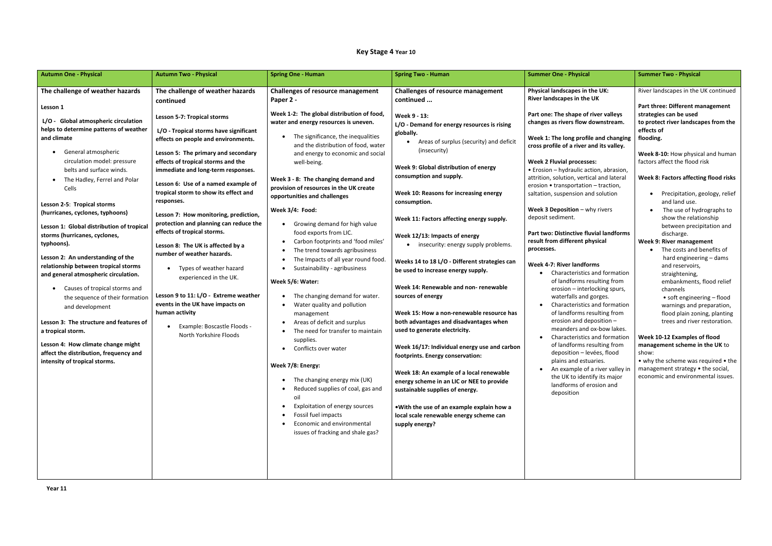## **Key Stage 4 Year 10**

| <b>Autumn One - Physical</b>                                                                                                                                                                                                                                                                                                                                                                                                                                                                                                                                                                                                                                                                                                                                                                                                         | <b>Autumn Two - Physical</b>                                                                                                                                                                                                                                                                                                                                                                                                                                                                                                                                                                                                                                                                                                                                                            | <b>Spring One - Human</b>                                                                                                                                                                                                                                                                                                                                                                                                                                                                                                                                                                                                                                                                                                                                                                                                                                                                         | <b>Spring Two - Human</b>                                                                                                                                                                                                                                                                                                                                                                                                                                                                                                                                                                                                                                                                                                                                                                                                                                                                                | <b>Summer One - Physical</b>                                                                                                                                                                                                                                                                                                                                                                                                                                                                                                                                                                                                                                                                                                                                                                                                                                                                                                                                                                                                                                                         | <b>Summer Two - Physical</b>                                                                                                                                                                                                                                                                                                                                                                                                                                                                                                                                                                                                                                                                                                                                                                                                                                                                                                       |
|--------------------------------------------------------------------------------------------------------------------------------------------------------------------------------------------------------------------------------------------------------------------------------------------------------------------------------------------------------------------------------------------------------------------------------------------------------------------------------------------------------------------------------------------------------------------------------------------------------------------------------------------------------------------------------------------------------------------------------------------------------------------------------------------------------------------------------------|-----------------------------------------------------------------------------------------------------------------------------------------------------------------------------------------------------------------------------------------------------------------------------------------------------------------------------------------------------------------------------------------------------------------------------------------------------------------------------------------------------------------------------------------------------------------------------------------------------------------------------------------------------------------------------------------------------------------------------------------------------------------------------------------|---------------------------------------------------------------------------------------------------------------------------------------------------------------------------------------------------------------------------------------------------------------------------------------------------------------------------------------------------------------------------------------------------------------------------------------------------------------------------------------------------------------------------------------------------------------------------------------------------------------------------------------------------------------------------------------------------------------------------------------------------------------------------------------------------------------------------------------------------------------------------------------------------|----------------------------------------------------------------------------------------------------------------------------------------------------------------------------------------------------------------------------------------------------------------------------------------------------------------------------------------------------------------------------------------------------------------------------------------------------------------------------------------------------------------------------------------------------------------------------------------------------------------------------------------------------------------------------------------------------------------------------------------------------------------------------------------------------------------------------------------------------------------------------------------------------------|--------------------------------------------------------------------------------------------------------------------------------------------------------------------------------------------------------------------------------------------------------------------------------------------------------------------------------------------------------------------------------------------------------------------------------------------------------------------------------------------------------------------------------------------------------------------------------------------------------------------------------------------------------------------------------------------------------------------------------------------------------------------------------------------------------------------------------------------------------------------------------------------------------------------------------------------------------------------------------------------------------------------------------------------------------------------------------------|------------------------------------------------------------------------------------------------------------------------------------------------------------------------------------------------------------------------------------------------------------------------------------------------------------------------------------------------------------------------------------------------------------------------------------------------------------------------------------------------------------------------------------------------------------------------------------------------------------------------------------------------------------------------------------------------------------------------------------------------------------------------------------------------------------------------------------------------------------------------------------------------------------------------------------|
| The challenge of weather hazards<br>Lesson 1<br>L/O - Global atmospheric circulation<br>helps to determine patterns of weather<br>and climate<br>General atmospheric<br>circulation model: pressure<br>belts and surface winds.<br>The Hadley, Ferrel and Polar<br>Cells<br>Lesson 2-5: Tropical storms<br>(hurricanes, cyclones, typhoons)<br>Lesson 1: Global distribution of tropical<br>storms (hurricanes, cyclones,<br>typhoons).<br>Lesson 2: An understanding of the<br>relationship between tropical storms<br>and general atmospheric circulation.<br>Causes of tropical storms and<br>the sequence of their formation<br>and development<br>Lesson 3: The structure and features of<br>a tropical storm.<br>Lesson 4: How climate change might<br>affect the distribution, frequency and<br>intensity of tropical storms. | The challenge of weather hazards<br>continued<br><b>Lesson 5-7: Tropical storms</b><br>L/O - Tropical storms have significant<br>effects on people and environments.<br>Lesson 5: The primary and secondary<br>effects of tropical storms and the<br>immediate and long-term responses.<br>Lesson 6: Use of a named example of<br>tropical storm to show its effect and<br>responses.<br>Lesson 7: How monitoring, prediction,<br>protection and planning can reduce the<br>effects of tropical storms.<br>Lesson 8: The UK is affected by a<br>number of weather hazards.<br>Types of weather hazard<br>experienced in the UK.<br>Lesson 9 to 11: L/O - Extreme weather<br>events in the UK have impacts on<br>human activity<br>Example: Boscastle Floods -<br>North Yorkshire Floods | <b>Challenges of resource management</b><br>Paper 2 -<br>Week 1-2: The global distribution of food,<br>water and energy resources is uneven.<br>The significance, the inequalities<br>and the distribution of food, water<br>and energy to economic and social<br>well-being.<br>Week 3 - 8: The changing demand and<br>provision of resources in the UK create<br>opportunities and challenges<br>Week 3/4: Food:<br>Growing demand for high value<br>food exports from LIC.<br>Carbon footprints and 'food miles'<br>The trend towards agribusiness<br>The Impacts of all year round food.<br>Sustainability - agribusiness<br>Week 5/6: Water:<br>The changing demand for water.<br>Water quality and pollution<br>management<br>Areas of deficit and surplus<br>The need for transfer to maintain<br>supplies.<br>• Conflicts over water<br>Week 7/8: Energy:<br>The changing energy mix (UK) | <b>Challenges of resource management</b><br>continued<br>Week 9 - 13:<br>L/O - Demand for energy resources is rising<br>globally.<br>Areas of surplus (security) and deficit<br>(insecurity)<br>Week 9: Global distribution of energy<br>consumption and supply.<br>Week 10: Reasons for increasing energy<br>consumption.<br>Week 11: Factors affecting energy supply.<br>Week 12/13: Impacts of energy<br>insecurity: energy supply problems.<br>Weeks 14 to 18 L/O - Different strategies can<br>be used to increase energy supply.<br>Week 14: Renewable and non-renewable<br>sources of energy<br>Week 15: How a non-renewable resource has<br>both advantages and disadvantages when<br>used to generate electricity.<br>Week 16/17: Individual energy use and carbon<br>footprints. Energy conservation:<br>Week 18: An example of a local renewable<br>energy scheme in an LIC or NEE to provide | Physical landscapes in the UK:<br>River landscapes in the UK<br>Part one: The shape of river valleys<br>changes as rivers flow downstream.<br>Week 1: The long profile and changing<br>cross profile of a river and its valley.<br><b>Week 2 Fluvial processes:</b><br>• Erosion - hydraulic action, abrasion,<br>attrition, solution, vertical and lateral<br>erosion • transportation - traction,<br>saltation, suspension and solution<br>Week 3 Deposition - why rivers<br>deposit sediment.<br>Part two: Distinctive fluvial landforms<br>result from different physical<br>processes.<br>Week 4-7: River landforms<br>Characteristics and formation<br>of landforms resulting from<br>erosion - interlocking spurs,<br>waterfalls and gorges.<br>Characteristics and formation<br>of landforms resulting from<br>erosion and deposition -<br>meanders and ox-bow lakes.<br>Characteristics and formation<br>of landforms resulting from<br>deposition - levées, flood<br>plains and estuaries.<br>An example of a river valley in<br>$\bullet$<br>the UK to identify its major | River landscapes in the UK continued<br>Part three: Different management<br>strategies can be used<br>to protect river landscapes from the<br>effects of<br>flooding.<br>Week 8-10: How physical and human<br>factors affect the flood risk<br>Week 8: Factors affecting flood risks<br>Precipitation, geology, relief<br>and land use.<br>The use of hydrographs to<br>show the relationship<br>between precipitation and<br>discharge.<br>Week 9: River management<br>The costs and benefits of<br>hard engineering - dams<br>and reservoirs,<br>straightening,<br>embankments, flood relief<br>channels<br>• soft engineering - flood<br>warnings and preparation,<br>flood plain zoning, planting<br>trees and river restoration.<br>Week 10-12 Examples of flood<br>management scheme in the UK to<br>show:<br>• why the scheme was required • the<br>management strategy • the social,<br>economic and environmental issues. |
|                                                                                                                                                                                                                                                                                                                                                                                                                                                                                                                                                                                                                                                                                                                                                                                                                                      |                                                                                                                                                                                                                                                                                                                                                                                                                                                                                                                                                                                                                                                                                                                                                                                         | Reduced supplies of coal, gas and                                                                                                                                                                                                                                                                                                                                                                                                                                                                                                                                                                                                                                                                                                                                                                                                                                                                 | sustainable supplies of energy.                                                                                                                                                                                                                                                                                                                                                                                                                                                                                                                                                                                                                                                                                                                                                                                                                                                                          | landforms of erosion and<br>deposition                                                                                                                                                                                                                                                                                                                                                                                                                                                                                                                                                                                                                                                                                                                                                                                                                                                                                                                                                                                                                                               |                                                                                                                                                                                                                                                                                                                                                                                                                                                                                                                                                                                                                                                                                                                                                                                                                                                                                                                                    |
|                                                                                                                                                                                                                                                                                                                                                                                                                                                                                                                                                                                                                                                                                                                                                                                                                                      |                                                                                                                                                                                                                                                                                                                                                                                                                                                                                                                                                                                                                                                                                                                                                                                         | oil<br>Exploitation of energy sources<br>Fossil fuel impacts<br>Economic and environmental<br>issues of fracking and shale gas?                                                                                                                                                                                                                                                                                                                                                                                                                                                                                                                                                                                                                                                                                                                                                                   | . With the use of an example explain how a<br>local scale renewable energy scheme can<br>supply energy?                                                                                                                                                                                                                                                                                                                                                                                                                                                                                                                                                                                                                                                                                                                                                                                                  |                                                                                                                                                                                                                                                                                                                                                                                                                                                                                                                                                                                                                                                                                                                                                                                                                                                                                                                                                                                                                                                                                      |                                                                                                                                                                                                                                                                                                                                                                                                                                                                                                                                                                                                                                                                                                                                                                                                                                                                                                                                    |